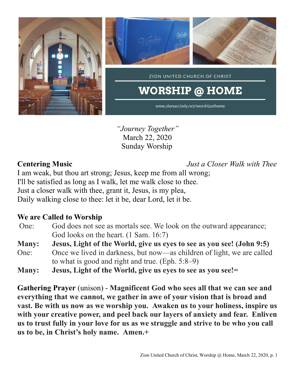

*"Journey Together"* March 22, 2020 Sunday Worship

**Centering Music** *Just a Closer Walk with Thee*

I am weak, but thou art strong; Jesus, keep me from all wrong; I'll be satisfied as long as I walk, let me walk close to thee. Just a closer walk with thee, grant it, Jesus, is my plea, Daily walking close to thee: let it be, dear Lord, let it be.

## **We are Called to Worship**

- One: God does not see as mortals see. We look on the outward appearance; God looks on the heart. (1 Sam. 16:7)
- **Many: Jesus, Light of the World, give us eyes to see as you see! (John 9:5)** One: Once we lived in darkness, but now—as children of light, we are called to what is good and right and true. (Eph. 5:8–9)
- **Many: Jesus, Light of the World, give us eyes to see as you see!=**

**Gathering Prayer** (unison) - **Magnificent God who sees all that we can see and everything that we cannot, we gather in awe of your vision that is broad and vast. Be with us now as we worship you. Awaken us to your holiness, inspire us with your creative power, and peel back our layers of anxiety and fear. Enliven us to trust fully in your love for us as we struggle and strive to be who you call us to be, in Christ's holy name. Amen.+**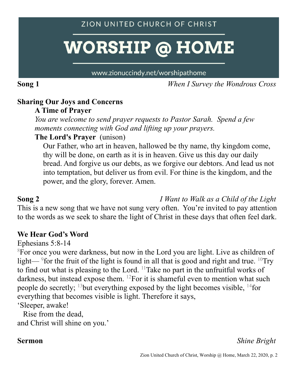ZION UNITED CHURCH OF CHRIST

# **WORSHIP @ HOME**

www.zionuccindy.net/worshipathome

**Song 1** *When I Survey the Wondrous Cross*

# **Sharing Our Joys and Concerns**

## **A Time of Prayer**

*You are welcome to send prayer requests to Pastor Sarah. Spend a few moments connecting with God and lifting up your prayers.*

# **The Lord's Prayer** (unison)

Our Father, who art in heaven, hallowed be thy name, thy kingdom come, thy will be done, on earth as it is in heaven. Give us this day our daily bread. And forgive us our debts, as we forgive our debtors. And lead us not into temptation, but deliver us from evil. For thine is the kingdom, and the power, and the glory, forever. Amen.

**Song 2** *I Want to Walk as a Child of the Light* This is a new song that we have not sung very often. You're invited to pay attention to the words as we seek to share the light of Christ in these days that often feel dark.

## **We Hear God's Word**

Ephesians 5:8-14

<sup>8</sup>For once you were darkness, but now in the Lord you are light. Live as children of light—  $9$  for the fruit of the light is found in all that is good and right and true.  $10$ Try to find out what is pleasing to the Lord.  $11$ Take no part in the unfruitful works of darkness, but instead expose them. <sup>12</sup>For it is shameful even to mention what such people do secretly;  $^{13}$ but everything exposed by the light becomes visible,  $^{14}$ for everything that becomes visible is light. Therefore it says, 'Sleeper, awake!

 Rise from the dead, and Christ will shine on you.'

**Sermon** *Shine Bright*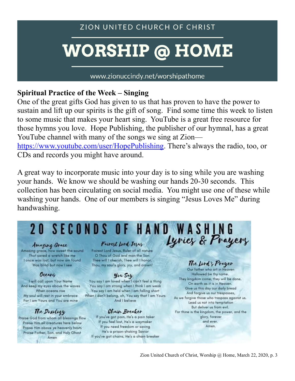ZION UNITED CHURCH OF CHRIST

# **WORSHIP @ HOME**

www.zionuccindy.net/worshipathome

### **Spiritual Practice of the Week – Singing**

One of the great gifts God has given to us that has proven to have the power to sustain and lift up our spirits is the gift of song. Find some time this week to listen to some music that makes your heart sing. YouTube is a great free resource for those hymns you love. Hope Publishing, the publisher of our hymnal, has a great YouTube channel with many of the songs we sing at Zion https://www.youtube.com/user/HopePublishing. There's always the radio, too, or CDs and records you might have around.

A great way to incorporate music into your day is to sing while you are washing your hands. We know we should be washing our hands 20-30 seconds. This collection has been circulating on social media. You might use one of these while washing your hands. One of our members is singing "Jesus Loves Me" during handwashing.

## **20 SECONDS OF HAND WASHING** Lyricz & Prayers

#### Amazing Grace

Amazing grace, how sweet the sound That saved a wretch like me I once was lost, but now am found Was blind but now I see

#### Occupy

Twill call upon Your Name And keep my eyes above the waves When oceans rise My soul will rest in your embrace For I am Yours and You are mine

### The Dowlogy

Praise God from whom all blessings flow Praise Him all creatures here below Praise Him above ye heavenly hosts Praise Father, Son, and Holy Ghast Amen

#### Fairest Lord Jesus

Fairest Lord Jesus, Ruler of all nature O Thou of God and man the Son Thee will I cherish, Thee will I honor. Thou, my soul's glory, joy, and crown!

#### you Say

You say I am loved when I can't feel a thing You say I am strong when I think I am weak You say I am held when I am falling short When I don't belong, oh, You say that I am Yours And I believe

#### Chain Breaker

If you've got pain, He's a pain taker If you feel lost, He's a waymaker If you need freedom or saving He's a prison-shaking Savior If you've got chains, He's a chain breaker.

#### The Lord's Prayer

Our father who art in Heaven Hallowed be thy name. They kingdom come, they will be done, On earth as it is in Heaven. Give us this day our daily bread And forgive us our trespasses, As we forgive those who trespass against us. Lead us not into temptation. But deliver us from evil. For thine is the kingdom, the power, and the glory, forever and ever. Amen.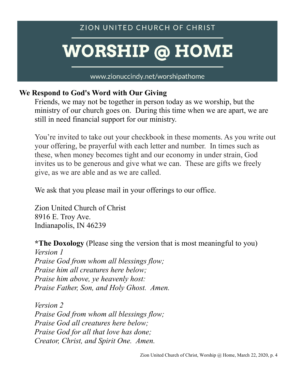ZION UNITED CHURCH OF CHRIST

# **WORSHIP @ HOME**

www.zionuccindy.net/worshipathome

### **We Respond to God's Word with Our Giving**

Friends, we may not be together in person today as we worship, but the ministry of our church goes on. During this time when we are apart, we are still in need financial support for our ministry.

You're invited to take out your checkbook in these moments. As you write out your offering, be prayerful with each letter and number. In times such as these, when money becomes tight and our economy in under strain, God invites us to be generous and give what we can. These are gifts we freely give, as we are able and as we are called.

We ask that you please mail in your offerings to our office.

Zion United Church of Christ 8916 E. Troy Ave. Indianapolis, IN 46239

**\*The Doxology** (Please sing the version that is most meaningful to you) *Version 1 Praise God from whom all blessings flow; Praise him all creatures here below; Praise him above, ye heavenly host: Praise Father, Son, and Holy Ghost. Amen.*

*Version 2 Praise God from whom all blessings flow; Praise God all creatures here below; Praise God for all that love has done; Creator, Christ, and Spirit One. Amen.*